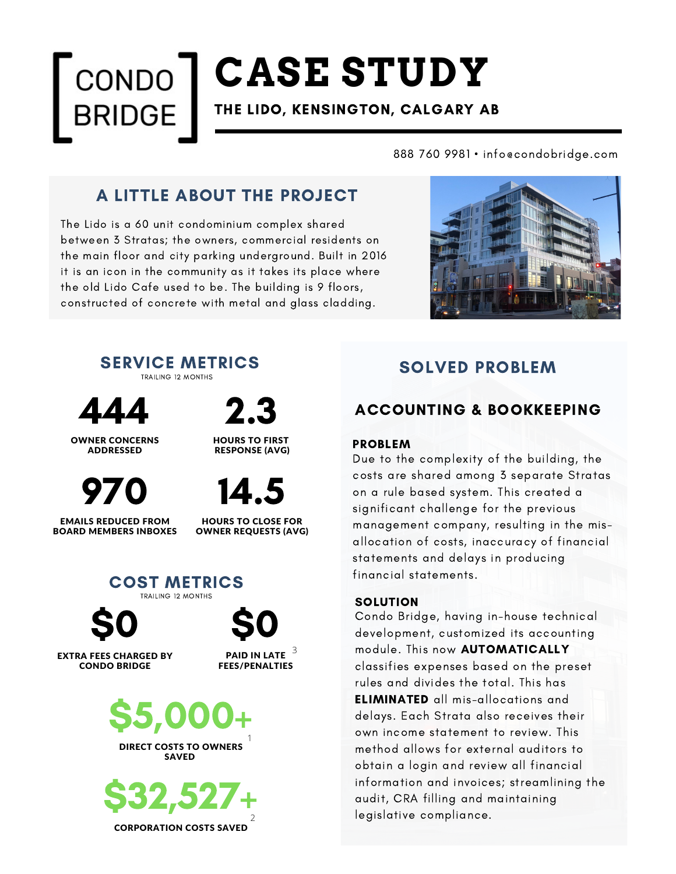## **CASE STUDY** CONDO THE LIDO, KENSINGTON, CALGARY AB

888 760 9981 • info@condobridge.com

## A LITTLE ABOUT THE PROJECT

The Lido is a 60 unit condominium complex shared between 3 Stratas; the owners, commercial residents on the main floor and city parking underground. Built in 2016 it is an icon in the community as it takes its place where the old Lido Cafe used to be. The building is 9 floors, constructed of concrete with metal and glass cladding.





444

OWNER CONCERNS ADDRESSED



EMAILS REDUCED FROM BOARD MEMBERS INBOXES





HOURS TO CLOSE FOR OWNER REQUESTS (AVG)



EXTRA FEES CHARGED BY CONDO BRIDGE

PAID IN LATE  $^{\,3}$ FEES/PENALTIES



**SAVED** 



## SOLVED PROBLEM

## ACCOUNTING & BOOKKEEPING

#### PROBLEM

Due to the complexity of the building, the costs are shared among 3 separate Stratas on a rule based system. This created a significant challenge for the previous management company, resulting in the misallocation of costs, inaccuracy of financial statements and delays in producing financial statements.

#### **SOLUTION**

Condo Bridge, having in-house technical development, customized its accounting module. This now AUTOMATICALLY classifies expenses based on the preset rules and divides the total. This has ELIMINATED all mis-allocations and delays. Each Strata also receives their own income statement to review. This method allows for external auditors to obtain a login and review all financial information and invoices; streamlining the audit, CRA filling and maintaining legislative compliance.